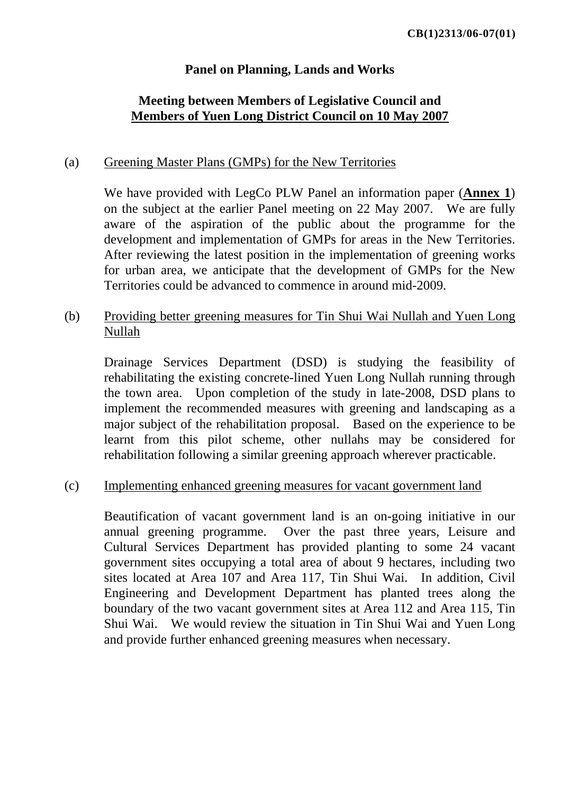## **Panel on Planning, Lands and Works**

## **Meeting between Members of Legislative Council and Members of Yuen Long District Council on 10 May 2007**

#### (a) Greening Master Plans (GMPs) for the New Territories

We have provided with LegCo PLW Panel an information paper (**Annex 1**) on the subject at the earlier Panel meeting on 22 May 2007. We are fully aware of the aspiration of the public about the programme for the development and implementation of GMPs for areas in the New Territories. After reviewing the latest position in the implementation of greening works for urban area, we anticipate that the development of GMPs for the New Territories could be advanced to commence in around mid-2009.

## (b) Providing better greening measures for Tin Shui Wai Nullah and Yuen Long Nullah

Drainage Services Department (DSD) is studying the feasibility of rehabilitating the existing concrete-lined Yuen Long Nullah running through the town area. Upon completion of the study in late-2008, DSD plans to implement the recommended measures with greening and landscaping as a major subject of the rehabilitation proposal. Based on the experience to be learnt from this pilot scheme, other nullahs may be considered for rehabilitation following a similar greening approach wherever practicable.

#### (c) Implementing enhanced greening measures for vacant government land

Beautification of vacant government land is an on-going initiative in our annual greening programme. Over the past three years, Leisure and Cultural Services Department has provided planting to some 24 vacant government sites occupying a total area of about 9 hectares, including two sites located at Area 107 and Area 117, Tin Shui Wai. In addition, Civil Engineering and Development Department has planted trees along the boundary of the two vacant government sites at Area 112 and Area 115, Tin Shui Wai. We would review the situation in Tin Shui Wai and Yuen Long and provide further enhanced greening measures when necessary.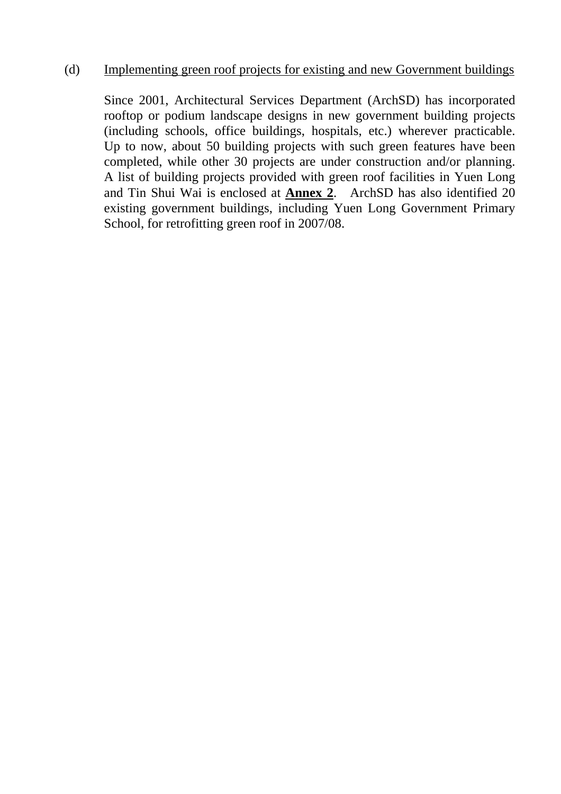### (d) Implementing green roof projects for existing and new Government buildings

Since 2001, Architectural Services Department (ArchSD) has incorporated rooftop or podium landscape designs in new government building projects (including schools, office buildings, hospitals, etc.) wherever practicable. Up to now, about 50 building projects with such green features have been completed, while other 30 projects are under construction and/or planning. A list of building projects provided with green roof facilities in Yuen Long and Tin Shui Wai is enclosed at **Annex 2**. ArchSD has also identified 20 existing government buildings, including Yuen Long Government Primary School, for retrofitting green roof in 2007/08.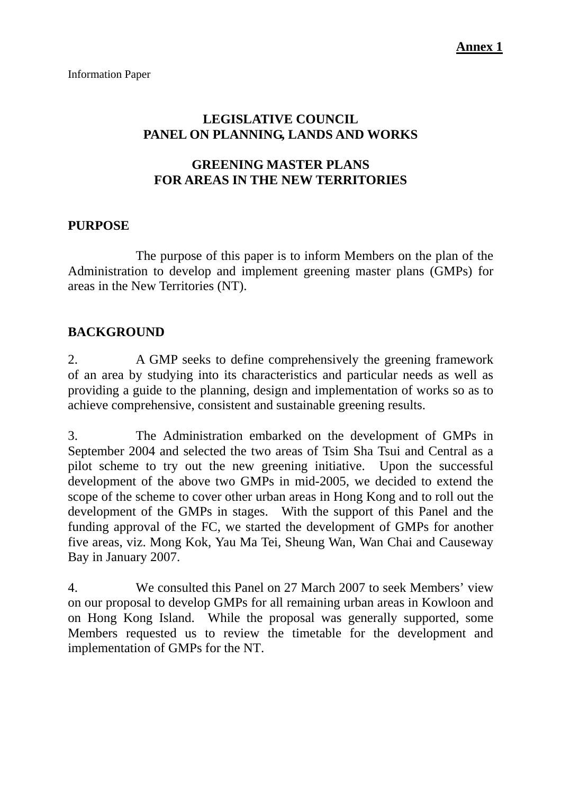# **LEGISLATIVE COUNCIL PANEL ON PLANNING, LANDS AND WORKS**

# **GREENING MASTER PLANS FOR AREAS IN THE NEW TERRITORIES**

### **PURPOSE**

 The purpose of this paper is to inform Members on the plan of the Administration to develop and implement greening master plans (GMPs) for areas in the New Territories (NT).

## **BACKGROUND**

2. A GMP seeks to define comprehensively the greening framework of an area by studying into its characteristics and particular needs as well as providing a guide to the planning, design and implementation of works so as to achieve comprehensive, consistent and sustainable greening results.

3. The Administration embarked on the development of GMPs in September 2004 and selected the two areas of Tsim Sha Tsui and Central as a pilot scheme to try out the new greening initiative. Upon the successful development of the above two GMPs in mid-2005, we decided to extend the scope of the scheme to cover other urban areas in Hong Kong and to roll out the development of the GMPs in stages. With the support of this Panel and the funding approval of the FC, we started the development of GMPs for another five areas, viz. Mong Kok, Yau Ma Tei, Sheung Wan, Wan Chai and Causeway Bay in January 2007.

4. We consulted this Panel on 27 March 2007 to seek Members' view on our proposal to develop GMPs for all remaining urban areas in Kowloon and on Hong Kong Island. While the proposal was generally supported, some Members requested us to review the timetable for the development and implementation of GMPs for the NT.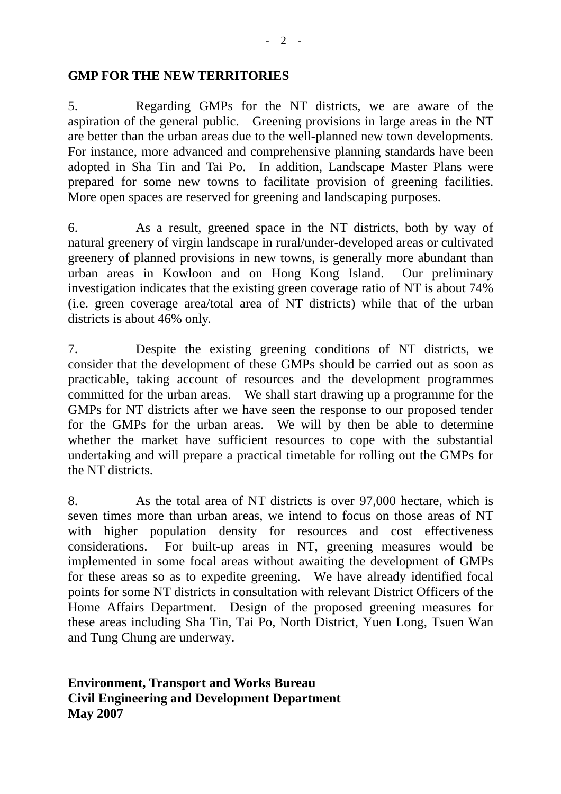#### **GMP FOR THE NEW TERRITORIES**

5. Regarding GMPs for the NT districts, we are aware of the aspiration of the general public. Greening provisions in large areas in the NT are better than the urban areas due to the well-planned new town developments. For instance, more advanced and comprehensive planning standards have been adopted in Sha Tin and Tai Po. In addition, Landscape Master Plans were prepared for some new towns to facilitate provision of greening facilities. More open spaces are reserved for greening and landscaping purposes.

6. As a result, greened space in the NT districts, both by way of natural greenery of virgin landscape in rural/under-developed areas or cultivated greenery of planned provisions in new towns, is generally more abundant than urban areas in Kowloon and on Hong Kong Island. Our preliminary investigation indicates that the existing green coverage ratio of NT is about 74% (i.e. green coverage area/total area of NT districts) while that of the urban districts is about 46% only.

7. Despite the existing greening conditions of NT districts, we consider that the development of these GMPs should be carried out as soon as practicable, taking account of resources and the development programmes committed for the urban areas. We shall start drawing up a programme for the GMPs for NT districts after we have seen the response to our proposed tender for the GMPs for the urban areas. We will by then be able to determine whether the market have sufficient resources to cope with the substantial undertaking and will prepare a practical timetable for rolling out the GMPs for the NT districts.

8. As the total area of NT districts is over 97,000 hectare, which is seven times more than urban areas, we intend to focus on those areas of NT with higher population density for resources and cost effectiveness considerations. For built-up areas in NT, greening measures would be implemented in some focal areas without awaiting the development of GMPs for these areas so as to expedite greening. We have already identified focal points for some NT districts in consultation with relevant District Officers of the Home Affairs Department. Design of the proposed greening measures for these areas including Sha Tin, Tai Po, North District, Yuen Long, Tsuen Wan and Tung Chung are underway.

**Environment, Transport and Works Bureau Civil Engineering and Development Department May 2007**